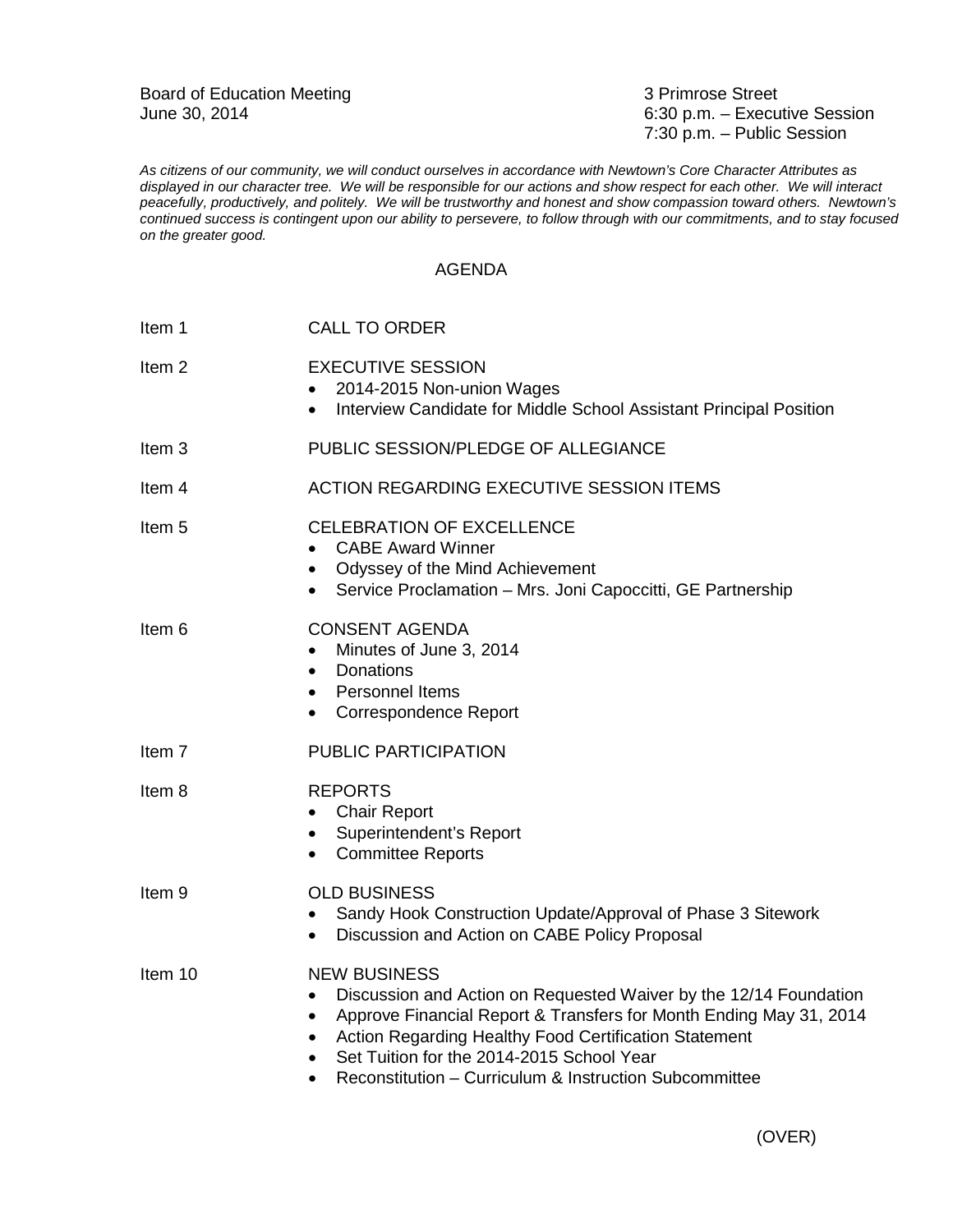Board of Education Meeting<br>
June 30, 2014<br>
3 Primrose Street<br>
6:30 p.m. – Execu

6:30 p.m. – Executive Session 7:30 p.m. – Public Session

*As citizens of our community, we will conduct ourselves in accordance with Newtown's Core Character Attributes as displayed in our character tree. We will be responsible for our actions and show respect for each other. We will interact peacefully, productively, and politely. We will be trustworthy and honest and show compassion toward others. Newtown's continued success is contingent upon our ability to persevere, to follow through with our commitments, and to stay focused on the greater good.*

## AGENDA

| <b>CALL TO ORDER</b>                                                                                                                                                                                                                                                                                                                                                                    |
|-----------------------------------------------------------------------------------------------------------------------------------------------------------------------------------------------------------------------------------------------------------------------------------------------------------------------------------------------------------------------------------------|
| <b>EXECUTIVE SESSION</b><br>2014-2015 Non-union Wages<br>Interview Candidate for Middle School Assistant Principal Position<br>$\bullet$                                                                                                                                                                                                                                                |
| PUBLIC SESSION/PLEDGE OF ALLEGIANCE                                                                                                                                                                                                                                                                                                                                                     |
| ACTION REGARDING EXECUTIVE SESSION ITEMS                                                                                                                                                                                                                                                                                                                                                |
| <b>CELEBRATION OF EXCELLENCE</b><br><b>CABE Award Winner</b><br>$\bullet$<br>• Odyssey of the Mind Achievement<br>Service Proclamation - Mrs. Joni Capoccitti, GE Partnership<br>$\bullet$                                                                                                                                                                                              |
| <b>CONSENT AGENDA</b><br>Minutes of June 3, 2014<br>$\bullet$<br>Donations<br>$\bullet$<br><b>Personnel Items</b><br>$\bullet$<br>Correspondence Report<br>$\bullet$                                                                                                                                                                                                                    |
| PUBLIC PARTICIPATION                                                                                                                                                                                                                                                                                                                                                                    |
| <b>REPORTS</b><br><b>Chair Report</b><br>$\bullet$<br>Superintendent's Report<br>$\bullet$<br><b>Committee Reports</b><br>$\bullet$                                                                                                                                                                                                                                                     |
| <b>OLD BUSINESS</b><br>Sandy Hook Construction Update/Approval of Phase 3 Sitework<br>٠<br>Discussion and Action on CABE Policy Proposal<br>$\bullet$                                                                                                                                                                                                                                   |
| <b>NEW BUSINESS</b><br>Discussion and Action on Requested Waiver by the 12/14 Foundation<br>$\bullet$<br>Approve Financial Report & Transfers for Month Ending May 31, 2014<br>$\bullet$<br>Action Regarding Healthy Food Certification Statement<br>٠<br>Set Tuition for the 2014-2015 School Year<br>$\bullet$<br>Reconstitution - Curriculum & Instruction Subcommittee<br>$\bullet$ |
|                                                                                                                                                                                                                                                                                                                                                                                         |

(OVER)